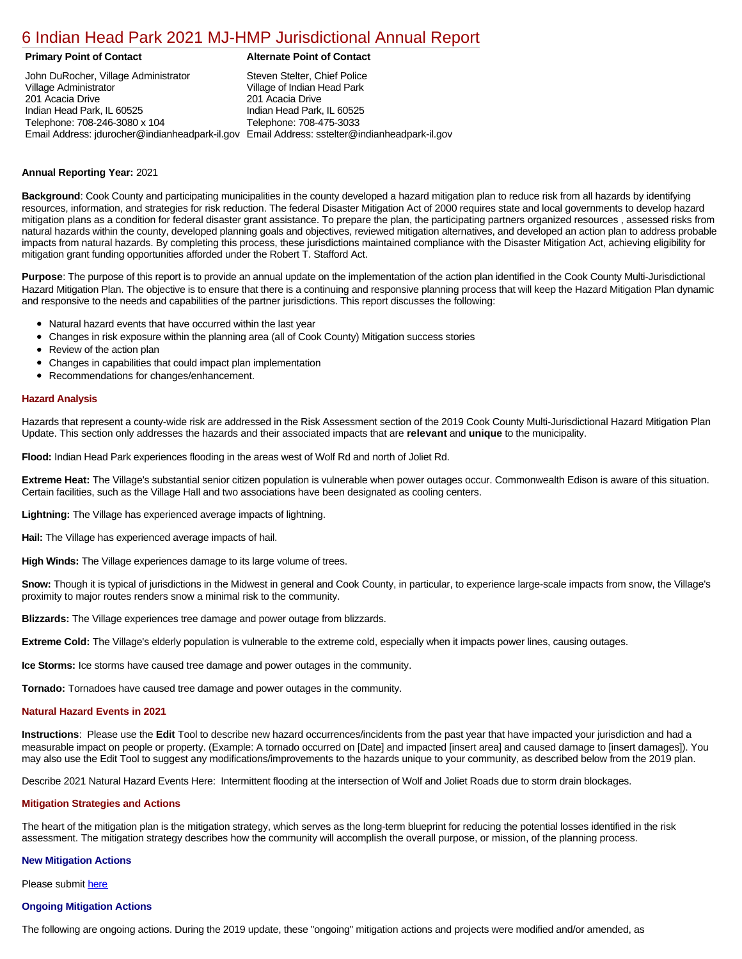# [6 Indian Head Park 2021 MJ-HMP Jurisdictional Annual Report](https://indianhead.isc-cemp.com/Cemp/Details?id=8322744)

### **Primary Point of Contact Alternate Point of Contact**

John DuRocher, Village Administrator Village Administrator 201 Acacia Drive Indian Head Park, IL 60525 Telephone: 708-246-3080 x 104 Email Address: jdurocher@indianheadpark-il.gov Email Address: sstelter@indianheadpark-il.gov Steven Stelter, Chief Police Village of Indian Head Park 201 Acacia Drive Indian Head Park, IL 60525 Telephone: 708-475-3033

## **Annual Reporting Year:** 2021

**Background**: Cook County and participating municipalities in the county developed a hazard mitigation plan to reduce risk from all hazards by identifying resources, information, and strategies for risk reduction. The federal Disaster Mitigation Act of 2000 requires state and local governments to develop hazard mitigation plans as a condition for federal disaster grant assistance. To prepare the plan, the participating partners organized resources , assessed risks from natural hazards within the county, developed planning goals and objectives, reviewed mitigation alternatives, and developed an action plan to address probable impacts from natural hazards. By completing this process, these jurisdictions maintained compliance with the Disaster Mitigation Act, achieving eligibility for mitigation grant funding opportunities afforded under the Robert T. Stafford Act.

**Purpose**: The purpose of this report is to provide an annual update on the implementation of the action plan identified in the Cook County Multi-Jurisdictional Hazard Mitigation Plan. The objective is to ensure that there is a continuing and responsive planning process that will keep the Hazard Mitigation Plan dynamic and responsive to the needs and capabilities of the partner jurisdictions. This report discusses the following:

- Natural hazard events that have occurred within the last year
- Changes in risk exposure within the planning area (all of Cook County) Mitigation success stories
- Review of the action plan
- Changes in capabilities that could impact plan implementation
- Recommendations for changes/enhancement.

#### **Hazard Analysis**

Hazards that represent a county-wide risk are addressed in the Risk Assessment section of the 2019 Cook County Multi-Jurisdictional Hazard Mitigation Plan Update. This section only addresses the hazards and their associated impacts that are **relevant** and **unique** to the municipality.

**Flood:** Indian Head Park experiences flooding in the areas west of Wolf Rd and north of Joliet Rd.

**Extreme Heat:** The Village's substantial senior citizen population is vulnerable when power outages occur. Commonwealth Edison is aware of this situation. Certain facilities, such as the Village Hall and two associations have been designated as cooling centers.

**Lightning:** The Village has experienced average impacts of lightning.

**Hail:** The Village has experienced average impacts of hail.

**High Winds:** The Village experiences damage to its large volume of trees.

**Snow:** Though it is typical of jurisdictions in the Midwest in general and Cook County, in particular, to experience large-scale impacts from snow, the Village's proximity to major routes renders snow a minimal risk to the community.

**Blizzards:** The Village experiences tree damage and power outage from blizzards.

**Extreme Cold:** The Village's elderly population is vulnerable to the extreme cold, especially when it impacts power lines, causing outages.

**Ice Storms:** Ice storms have caused tree damage and power outages in the community.

**Tornado:** Tornadoes have caused tree damage and power outages in the community.

#### **Natural Hazard Events in 2021**

**Instructions**: Please use the **Edit** Tool to describe new hazard occurrences/incidents from the past year that have impacted your jurisdiction and had a measurable impact on people or property. (Example: A tornado occurred on [Date] and impacted [insert area] and caused damage to [insert damages]). You may also use the Edit Tool to suggest any modifications/improvements to the hazards unique to your community, as described below from the 2019 plan.

Describe 2021 Natural Hazard Events Here: Intermittent flooding at the intersection of Wolf and Joliet Roads due to storm drain blockages.

#### **Mitigation Strategies and Actions**

The heart of the mitigation plan is the mitigation strategy, which serves as the long-term blueprint for reducing the potential losses identified in the risk assessment. The mitigation strategy describes how the community will accomplish the overall purpose, or mission, of the planning process.

#### **New Mitigation Actions**

Please submit [here](https://integratedsolutions.wufoo.com/forms/mg21jvf0jn639o/)

## **Ongoing Mitigation Actions**

The following are ongoing actions. During the 2019 update, these "ongoing" mitigation actions and projects were modified and/or amended, as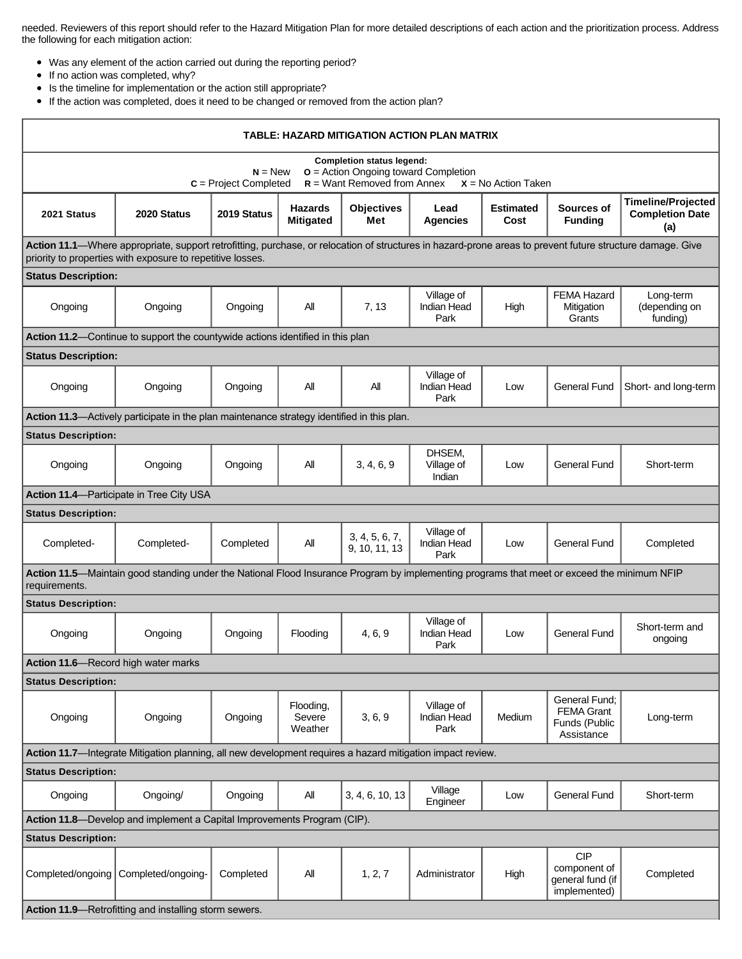needed. Reviewers of this report should refer to the Hazard Mitigation Plan for more detailed descriptions of each action and the prioritization process. Address the following for each mitigation action:

- Was any element of the action carried out during the reporting period?
- If no action was completed, why?
- Is the timeline for implementation or the action still appropriate?
- If the action was completed, does it need to be changed or removed from the action plan?

| TABLE: HAZARD MITIGATION ACTION PLAN MATRIX                                                                                                                                                                             |                                                                                |             |                                    |                                 |                                          |                          |                                                                   |                                                            |  |  |  |  |
|-------------------------------------------------------------------------------------------------------------------------------------------------------------------------------------------------------------------------|--------------------------------------------------------------------------------|-------------|------------------------------------|---------------------------------|------------------------------------------|--------------------------|-------------------------------------------------------------------|------------------------------------------------------------|--|--|--|--|
| <b>Completion status legend:</b><br>$o =$ Action Ongoing toward Completion<br>$N = New$<br>$R =$ Want Removed from Annex<br>$c =$ Project Completed<br>$X = No$ Action Taken                                            |                                                                                |             |                                    |                                 |                                          |                          |                                                                   |                                                            |  |  |  |  |
| 2021 Status                                                                                                                                                                                                             | 2020 Status                                                                    | 2019 Status | <b>Hazards</b><br><b>Mitigated</b> | <b>Objectives</b><br>Met        | Lead<br><b>Agencies</b>                  | <b>Estimated</b><br>Cost | Sources of<br><b>Funding</b>                                      | <b>Timeline/Projected</b><br><b>Completion Date</b><br>(a) |  |  |  |  |
| Action 11.1-Where appropriate, support retrofitting, purchase, or relocation of structures in hazard-prone areas to prevent future structure damage. Give<br>priority to properties with exposure to repetitive losses. |                                                                                |             |                                    |                                 |                                          |                          |                                                                   |                                                            |  |  |  |  |
| <b>Status Description:</b>                                                                                                                                                                                              |                                                                                |             |                                    |                                 |                                          |                          |                                                                   |                                                            |  |  |  |  |
| Ongoing                                                                                                                                                                                                                 | Ongoing                                                                        | Ongoing     | All                                | 7, 13                           | Village of<br>Indian Head<br>Park        | High                     | <b>FEMA Hazard</b><br>Mitigation<br>Grants                        | Long-term<br>(depending on<br>funding)                     |  |  |  |  |
|                                                                                                                                                                                                                         | Action 11.2-Continue to support the countywide actions identified in this plan |             |                                    |                                 |                                          |                          |                                                                   |                                                            |  |  |  |  |
| <b>Status Description:</b>                                                                                                                                                                                              |                                                                                |             |                                    |                                 |                                          |                          |                                                                   |                                                            |  |  |  |  |
| Ongoing                                                                                                                                                                                                                 | Ongoing                                                                        | Ongoing     | All                                | All                             | Village of<br><b>Indian Head</b><br>Park | Low                      | <b>General Fund</b>                                               | Short- and long-term                                       |  |  |  |  |
| Action 11.3—Actively participate in the plan maintenance strategy identified in this plan.                                                                                                                              |                                                                                |             |                                    |                                 |                                          |                          |                                                                   |                                                            |  |  |  |  |
| <b>Status Description:</b>                                                                                                                                                                                              |                                                                                |             |                                    |                                 |                                          |                          |                                                                   |                                                            |  |  |  |  |
| Ongoing                                                                                                                                                                                                                 | Ongoing                                                                        | Ongoing     | All                                | 3, 4, 6, 9                      | DHSEM,<br>Village of<br>Indian           | Low                      | General Fund                                                      | Short-term                                                 |  |  |  |  |
| Action 11.4-Participate in Tree City USA                                                                                                                                                                                |                                                                                |             |                                    |                                 |                                          |                          |                                                                   |                                                            |  |  |  |  |
| <b>Status Description:</b>                                                                                                                                                                                              |                                                                                |             |                                    |                                 |                                          |                          |                                                                   |                                                            |  |  |  |  |
| Completed-                                                                                                                                                                                                              | Completed-                                                                     | Completed   | All                                | 3, 4, 5, 6, 7,<br>9, 10, 11, 13 | Village of<br><b>Indian Head</b><br>Park | Low                      | <b>General Fund</b>                                               | Completed                                                  |  |  |  |  |
| Action 11.5—Maintain good standing under the National Flood Insurance Program by implementing programs that meet or exceed the minimum NFIP<br>requirements.                                                            |                                                                                |             |                                    |                                 |                                          |                          |                                                                   |                                                            |  |  |  |  |
| <b>Status Description:</b>                                                                                                                                                                                              |                                                                                |             |                                    |                                 |                                          |                          |                                                                   |                                                            |  |  |  |  |
| Ongoing                                                                                                                                                                                                                 | Ongoing                                                                        | Ongoing     | Flooding                           | 4, 6, 9                         | Village of<br><b>Indian Head</b><br>Park | Low                      | <b>General Fund</b>                                               | Short-term and<br>ongoing                                  |  |  |  |  |
| Action 11.6-Record high water marks                                                                                                                                                                                     |                                                                                |             |                                    |                                 |                                          |                          |                                                                   |                                                            |  |  |  |  |
| <b>Status Description:</b>                                                                                                                                                                                              |                                                                                |             |                                    |                                 |                                          |                          |                                                                   |                                                            |  |  |  |  |
| Ongoing                                                                                                                                                                                                                 | Ongoing                                                                        | Ongoing     | Flooding,<br>Severe<br>Weather     | 3, 6, 9                         | Village of<br><b>Indian Head</b><br>Park | Medium                   | General Fund;<br><b>FEMA Grant</b><br>Funds (Public<br>Assistance | Long-term                                                  |  |  |  |  |
| Action 11.7—Integrate Mitigation planning, all new development requires a hazard mitigation impact review.                                                                                                              |                                                                                |             |                                    |                                 |                                          |                          |                                                                   |                                                            |  |  |  |  |
| <b>Status Description:</b>                                                                                                                                                                                              |                                                                                |             |                                    |                                 |                                          |                          |                                                                   |                                                            |  |  |  |  |
| Ongoing                                                                                                                                                                                                                 | Ongoing/                                                                       | Ongoing     | All                                | 3, 4, 6, 10, 13                 | Village<br>Engineer                      | Low                      | <b>General Fund</b>                                               | Short-term                                                 |  |  |  |  |
| Action 11.8-Develop and implement a Capital Improvements Program (CIP).                                                                                                                                                 |                                                                                |             |                                    |                                 |                                          |                          |                                                                   |                                                            |  |  |  |  |
| <b>Status Description:</b>                                                                                                                                                                                              |                                                                                |             |                                    |                                 |                                          |                          |                                                                   |                                                            |  |  |  |  |
| Completed/ongoing                                                                                                                                                                                                       | Completed/ongoing-                                                             | Completed   | All                                | 1, 2, 7                         | Administrator                            | High                     | <b>CIP</b><br>component of<br>general fund (if<br>implemented)    | Completed                                                  |  |  |  |  |
| Action 11.9-Retrofitting and installing storm sewers.                                                                                                                                                                   |                                                                                |             |                                    |                                 |                                          |                          |                                                                   |                                                            |  |  |  |  |